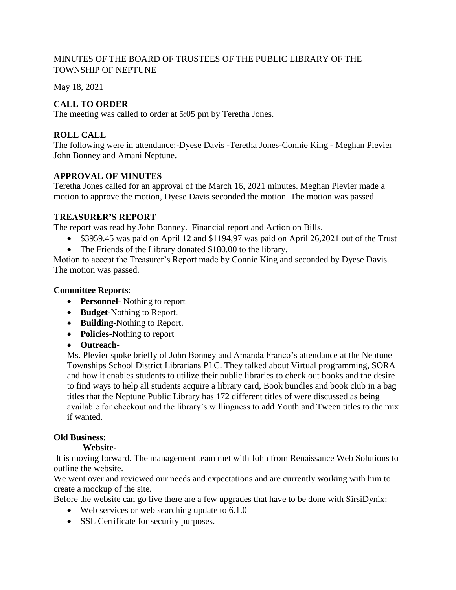## MINUTES OF THE BOARD OF TRUSTEES OF THE PUBLIC LIBRARY OF THE TOWNSHIP OF NEPTUNE

May 18, 2021

# **CALL TO ORDER**

The meeting was called to order at 5:05 pm by Teretha Jones.

# **ROLL CALL**

The following were in attendance:-Dyese Davis -Teretha Jones-Connie King - Meghan Plevier – John Bonney and Amani Neptune.

## **APPROVAL OF MINUTES**

Teretha Jones called for an approval of the March 16, 2021 minutes. Meghan Plevier made a motion to approve the motion, Dyese Davis seconded the motion. The motion was passed.

# **TREASURER'S REPORT**

The report was read by John Bonney. Financial report and Action on Bills.

- \$3959.45 was paid on April 12 and \$1194,97 was paid on April 26,2021 out of the Trust
- The Friends of the Library donated \$180.00 to the library.

Motion to accept the Treasurer's Report made by Connie King and seconded by Dyese Davis. The motion was passed.

## **Committee Reports**:

- **Personnel** Nothing to report
- **Budget**-Nothing to Report.
- **Building**-Nothing to Report.
- **Policies**-Nothing to report
- **Outreach**-

Ms. Plevier spoke briefly of John Bonney and Amanda Franco's attendance at the Neptune Townships School District Librarians PLC. They talked about Virtual programming, SORA and how it enables students to utilize their public libraries to check out books and the desire to find ways to help all students acquire a library card, Book bundles and book club in a bag titles that the Neptune Public Library has 172 different titles of were discussed as being available for checkout and the library's willingness to add Youth and Tween titles to the mix if wanted.

### **Old Business**:

### **Website**-

It is moving forward. The management team met with John from Renaissance Web Solutions to outline the website.

We went over and reviewed our needs and expectations and are currently working with him to create a mockup of the site.

Before the website can go live there are a few upgrades that have to be done with SirsiDynix:

- Web services or web searching update to 6.1.0
- SSL Certificate for security purposes.